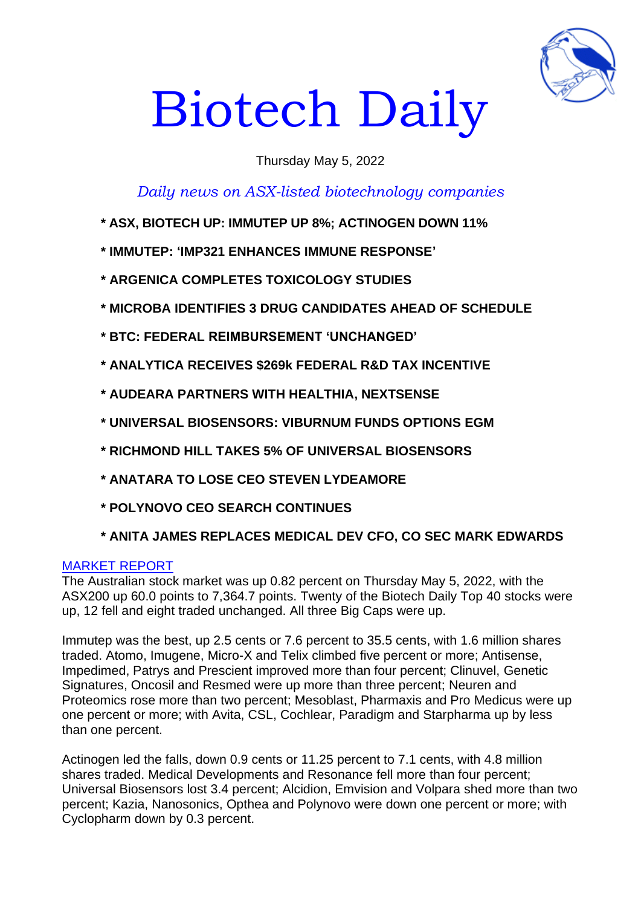

# Biotech Daily

# Thursday May 5, 2022

*Daily news on ASX-listed biotechnology companies*

- **\* ASX, BIOTECH UP: IMMUTEP UP 8%; ACTINOGEN DOWN 11%**
- **\* IMMUTEP: 'IMP321 ENHANCES IMMUNE RESPONSE'**
- **\* ARGENICA COMPLETES TOXICOLOGY STUDIES**
- **\* MICROBA IDENTIFIES 3 DRUG CANDIDATES AHEAD OF SCHEDULE**
- **\* BTC: FEDERAL REIMBURSEMENT 'UNCHANGED'**
- **\* ANALYTICA RECEIVES \$269k FEDERAL R&D TAX INCENTIVE**
- **\* AUDEARA PARTNERS WITH HEALTHIA, NEXTSENSE**
- **\* UNIVERSAL BIOSENSORS: VIBURNUM FUNDS OPTIONS EGM**
- **\* RICHMOND HILL TAKES 5% OF UNIVERSAL BIOSENSORS**
- **\* ANATARA TO LOSE CEO STEVEN LYDEAMORE**
- **\* POLYNOVO CEO SEARCH CONTINUES**
- **\* ANITA JAMES REPLACES MEDICAL DEV CFO, CO SEC MARK EDWARDS**

#### MARKET REPORT

The Australian stock market was up 0.82 percent on Thursday May 5, 2022, with the ASX200 up 60.0 points to 7,364.7 points. Twenty of the Biotech Daily Top 40 stocks were up, 12 fell and eight traded unchanged. All three Big Caps were up.

Immutep was the best, up 2.5 cents or 7.6 percent to 35.5 cents, with 1.6 million shares traded. Atomo, Imugene, Micro-X and Telix climbed five percent or more; Antisense, Impedimed, Patrys and Prescient improved more than four percent; Clinuvel, Genetic Signatures, Oncosil and Resmed were up more than three percent; Neuren and Proteomics rose more than two percent; Mesoblast, Pharmaxis and Pro Medicus were up one percent or more; with Avita, CSL, Cochlear, Paradigm and Starpharma up by less than one percent.

Actinogen led the falls, down 0.9 cents or 11.25 percent to 7.1 cents, with 4.8 million shares traded. Medical Developments and Resonance fell more than four percent; Universal Biosensors lost 3.4 percent; Alcidion, Emvision and Volpara shed more than two percent; Kazia, Nanosonics, Opthea and Polynovo were down one percent or more; with Cyclopharm down by 0.3 percent.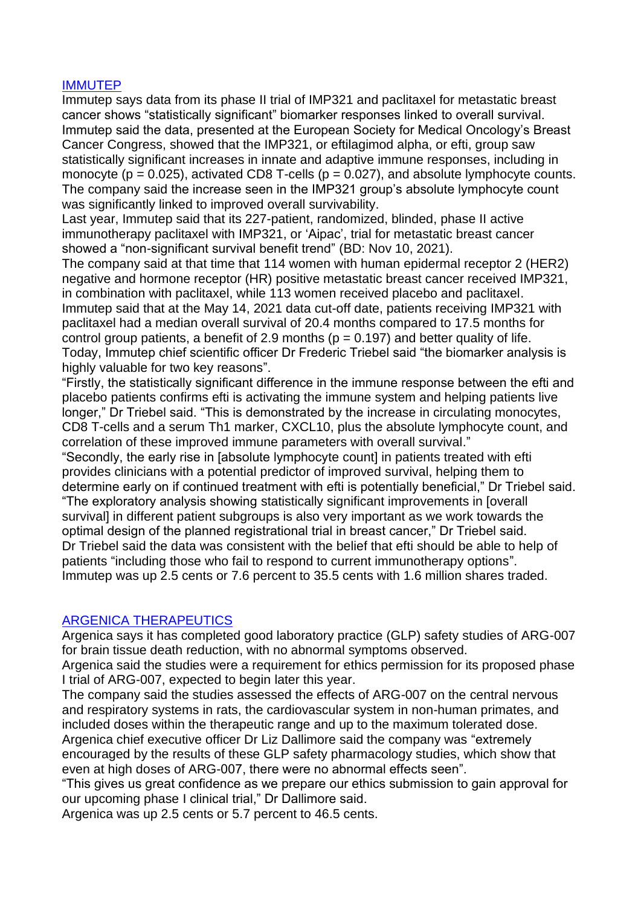## IMMUTEP

Immutep says data from its phase II trial of IMP321 and paclitaxel for metastatic breast cancer shows "statistically significant" biomarker responses linked to overall survival. Immutep said the data, presented at the European Society for Medical Oncology's Breast Cancer Congress, showed that the IMP321, or eftilagimod alpha, or efti, group saw statistically significant increases in innate and adaptive immune responses, including in monocyte ( $p = 0.025$ ), activated CD8 T-cells ( $p = 0.027$ ), and absolute lymphocyte counts. The company said the increase seen in the IMP321 group's absolute lymphocyte count was significantly linked to improved overall survivability.

Last year, Immutep said that its 227-patient, randomized, blinded, phase II active immunotherapy paclitaxel with IMP321, or 'Aipac', trial for metastatic breast cancer showed a "non-significant survival benefit trend" (BD: Nov 10, 2021).

The company said at that time that 114 women with human epidermal receptor 2 (HER2) negative and hormone receptor (HR) positive metastatic breast cancer received IMP321, in combination with paclitaxel, while 113 women received placebo and paclitaxel. Immutep said that at the May 14, 2021 data cut-off date, patients receiving IMP321 with paclitaxel had a median overall survival of 20.4 months compared to 17.5 months for control group patients, a benefit of 2.9 months ( $p = 0.197$ ) and better quality of life. Today, Immutep chief scientific officer Dr Frederic Triebel said "the biomarker analysis is highly valuable for two key reasons".

"Firstly, the statistically significant difference in the immune response between the efti and placebo patients confirms efti is activating the immune system and helping patients live longer," Dr Triebel said. "This is demonstrated by the increase in circulating monocytes, CD8 T-cells and a serum Th1 marker, CXCL10, plus the absolute lymphocyte count, and correlation of these improved immune parameters with overall survival."

"Secondly, the early rise in [absolute lymphocyte count] in patients treated with efti provides clinicians with a potential predictor of improved survival, helping them to determine early on if continued treatment with efti is potentially beneficial," Dr Triebel said. "The exploratory analysis showing statistically significant improvements in [overall survival] in different patient subgroups is also very important as we work towards the optimal design of the planned registrational trial in breast cancer," Dr Triebel said. Dr Triebel said the data was consistent with the belief that efti should be able to help of patients "including those who fail to respond to current immunotherapy options". Immutep was up 2.5 cents or 7.6 percent to 35.5 cents with 1.6 million shares traded.

#### ARGENICA THERAPEUTICS

Argenica says it has completed good laboratory practice (GLP) safety studies of ARG-007 for brain tissue death reduction, with no abnormal symptoms observed.

Argenica said the studies were a requirement for ethics permission for its proposed phase I trial of ARG-007, expected to begin later this year.

The company said the studies assessed the effects of ARG-007 on the central nervous and respiratory systems in rats, the cardiovascular system in non-human primates, and included doses within the therapeutic range and up to the maximum tolerated dose. Argenica chief executive officer Dr Liz Dallimore said the company was "extremely encouraged by the results of these GLP safety pharmacology studies, which show that even at high doses of ARG-007, there were no abnormal effects seen".

"This gives us great confidence as we prepare our ethics submission to gain approval for our upcoming phase I clinical trial," Dr Dallimore said.

Argenica was up 2.5 cents or 5.7 percent to 46.5 cents.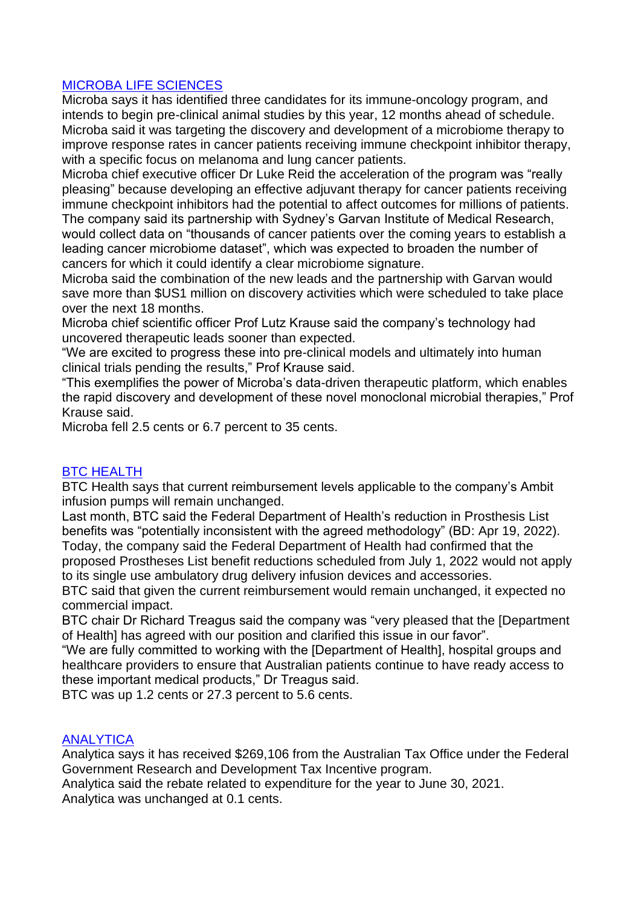# MICROBA LIFE SCIENCES

Microba says it has identified three candidates for its immune-oncology program, and intends to begin pre-clinical animal studies by this year, 12 months ahead of schedule. Microba said it was targeting the discovery and development of a microbiome therapy to improve response rates in cancer patients receiving immune checkpoint inhibitor therapy, with a specific focus on melanoma and lung cancer patients.

Microba chief executive officer Dr Luke Reid the acceleration of the program was "really pleasing" because developing an effective adjuvant therapy for cancer patients receiving immune checkpoint inhibitors had the potential to affect outcomes for millions of patients. The company said its partnership with Sydney's Garvan Institute of Medical Research,

would collect data on "thousands of cancer patients over the coming years to establish a leading cancer microbiome dataset", which was expected to broaden the number of cancers for which it could identify a clear microbiome signature.

Microba said the combination of the new leads and the partnership with Garvan would save more than \$US1 million on discovery activities which were scheduled to take place over the next 18 months.

Microba chief scientific officer Prof Lutz Krause said the company's technology had uncovered therapeutic leads sooner than expected.

"We are excited to progress these into pre-clinical models and ultimately into human clinical trials pending the results," Prof Krause said.

"This exemplifies the power of Microba's data-driven therapeutic platform, which enables the rapid discovery and development of these novel monoclonal microbial therapies," Prof Krause said.

Microba fell 2.5 cents or 6.7 percent to 35 cents.

#### BTC HEALTH

BTC Health says that current reimbursement levels applicable to the company's Ambit infusion pumps will remain unchanged.

Last month, BTC said the Federal Department of Health's reduction in Prosthesis List benefits was "potentially inconsistent with the agreed methodology" (BD: Apr 19, 2022). Today, the company said the Federal Department of Health had confirmed that the proposed Prostheses List benefit reductions scheduled from July 1, 2022 would not apply

to its single use ambulatory drug delivery infusion devices and accessories. BTC said that given the current reimbursement would remain unchanged, it expected no commercial impact.

BTC chair Dr Richard Treagus said the company was "very pleased that the [Department of Health] has agreed with our position and clarified this issue in our favor".

"We are fully committed to working with the [Department of Health], hospital groups and healthcare providers to ensure that Australian patients continue to have ready access to these important medical products," Dr Treagus said.

BTC was up 1.2 cents or 27.3 percent to 5.6 cents.

#### **ANALYTICA**

Analytica says it has received \$269,106 from the Australian Tax Office under the Federal Government Research and Development Tax Incentive program.

Analytica said the rebate related to expenditure for the year to June 30, 2021.

Analytica was unchanged at 0.1 cents.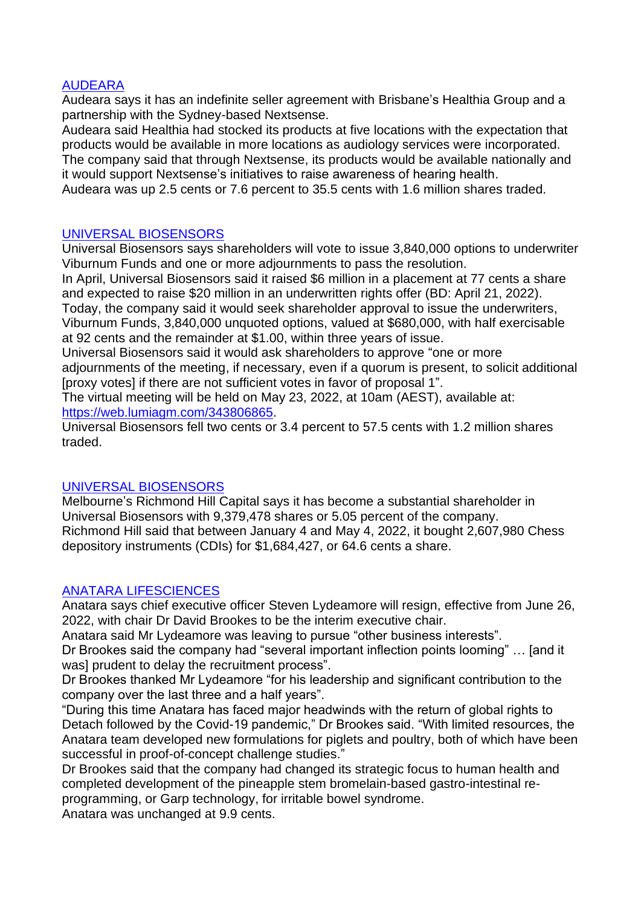## AUDEARA

Audeara says it has an indefinite seller agreement with Brisbane's Healthia Group and a partnership with the Sydney-based Nextsense.

Audeara said Healthia had stocked its products at five locations with the expectation that products would be available in more locations as audiology services were incorporated.

The company said that through Nextsense, its products would be available nationally and it would support Nextsense's initiatives to raise awareness of hearing health.

Audeara was up 2.5 cents or 7.6 percent to 35.5 cents with 1.6 million shares traded.

#### UNIVERSAL BIOSENSORS

Universal Biosensors says shareholders will vote to issue 3,840,000 options to underwriter Viburnum Funds and one or more adjournments to pass the resolution.

In April, Universal Biosensors said it raised \$6 million in a placement at 77 cents a share and expected to raise \$20 million in an underwritten rights offer (BD: April 21, 2022).

Today, the company said it would seek shareholder approval to issue the underwriters, Viburnum Funds, 3,840,000 unquoted options, valued at \$680,000, with half exercisable at 92 cents and the remainder at \$1.00, within three years of issue.

Universal Biosensors said it would ask shareholders to approve "one or more adjournments of the meeting, if necessary, even if a quorum is present, to solicit additional [proxy votes] if there are not sufficient votes in favor of proposal 1".

The virtual meeting will be held on May 23, 2022, at 10am (AEST), available at: [https://web.lumiagm.com/343806865.](https://web.lumiagm.com/343806865)

Universal Biosensors fell two cents or 3.4 percent to 57.5 cents with 1.2 million shares traded.

# UNIVERSAL BIOSENSORS

Melbourne's Richmond Hill Capital says it has become a substantial shareholder in Universal Biosensors with 9,379,478 shares or 5.05 percent of the company. Richmond Hill said that between January 4 and May 4, 2022, it bought 2,607,980 Chess depository instruments (CDIs) for \$1,684,427, or 64.6 cents a share.

#### ANATARA LIFESCIENCES

Anatara says chief executive officer Steven Lydeamore will resign, effective from June 26, 2022, with chair Dr David Brookes to be the interim executive chair.

Anatara said Mr Lydeamore was leaving to pursue "other business interests".

Dr Brookes said the company had "several important inflection points looming" … [and it was] prudent to delay the recruitment process".

Dr Brookes thanked Mr Lydeamore "for his leadership and significant contribution to the company over the last three and a half years".

"During this time Anatara has faced major headwinds with the return of global rights to Detach followed by the Covid-19 pandemic," Dr Brookes said. "With limited resources, the Anatara team developed new formulations for piglets and poultry, both of which have been successful in proof-of-concept challenge studies."

Dr Brookes said that the company had changed its strategic focus to human health and completed development of the pineapple stem bromelain-based gastro-intestinal reprogramming, or Garp technology, for irritable bowel syndrome.

Anatara was unchanged at 9.9 cents.